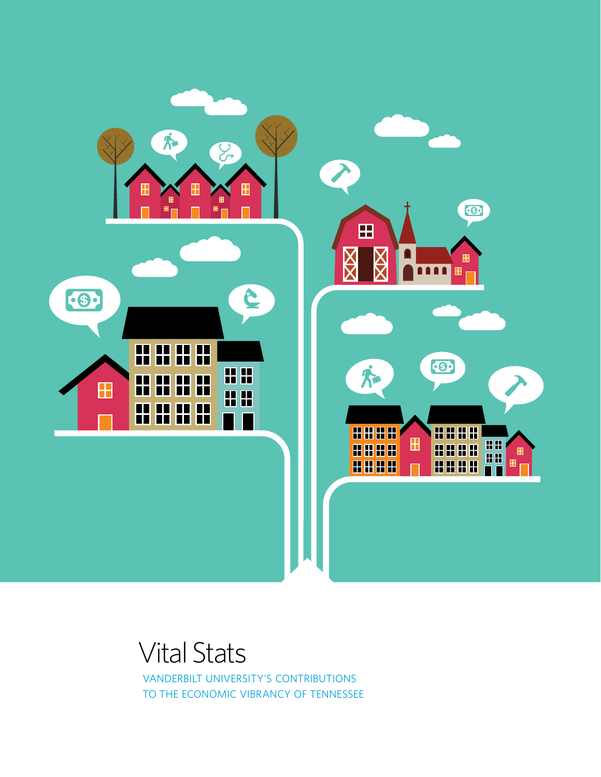

# Vital Stats

Vanderbilt University's contributions to the economic vibrancy of Tennessee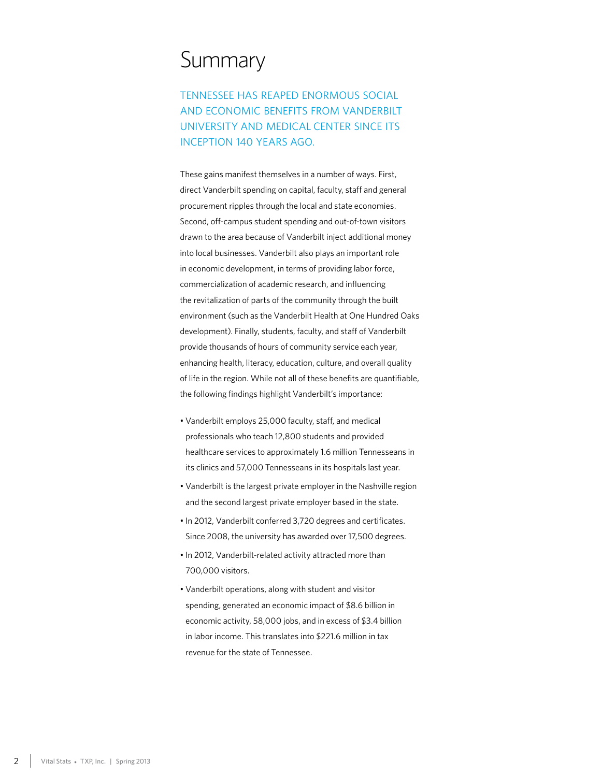## **Summary**

Tennessee has reaped enormous social and economic benefits from Vanderbilt University and Medical Center since its inception 140 years ago.

These gains manifest themselves in a number of ways. First, direct Vanderbilt spending on capital, faculty, staff and general procurement ripples through the local and state economies. Second, off-campus student spending and out-of-town visitors drawn to the area because of Vanderbilt inject additional money into local businesses. Vanderbilt also plays an important role in economic development, in terms of providing labor force, commercialization of academic research, and influencing the revitalization of parts of the community through the built environment (such as the Vanderbilt Health at One Hundred Oaks development). Finally, students, faculty, and staff of Vanderbilt provide thousands of hours of community service each year, enhancing health, literacy, education, culture, and overall quality of life in the region. While not all of these benefits are quantifiable, the following findings highlight Vanderbilt's importance:

- Vanderbilt employs 25,000 faculty, staff, and medical professionals who teach 12,800 students and provided healthcare services to approximately 1.6 million Tennesseans in its clinics and 57,000 Tennesseans in its hospitals last year.
- Vanderbilt is the largest private employer in the Nashville region and the second largest private employer based in the state.
- In 2012, Vanderbilt conferred 3,720 degrees and certificates. Since 2008, the university has awarded over 17,500 degrees.
- In 2012, Vanderbilt-related activity attracted more than 700,000 visitors.
- Vanderbilt operations, along with student and visitor spending, generated an economic impact of \$8.6 billion in economic activity, 58,000 jobs, and in excess of \$3.4 billion in labor income. This translates into \$221.6 million in tax revenue for the state of Tennessee.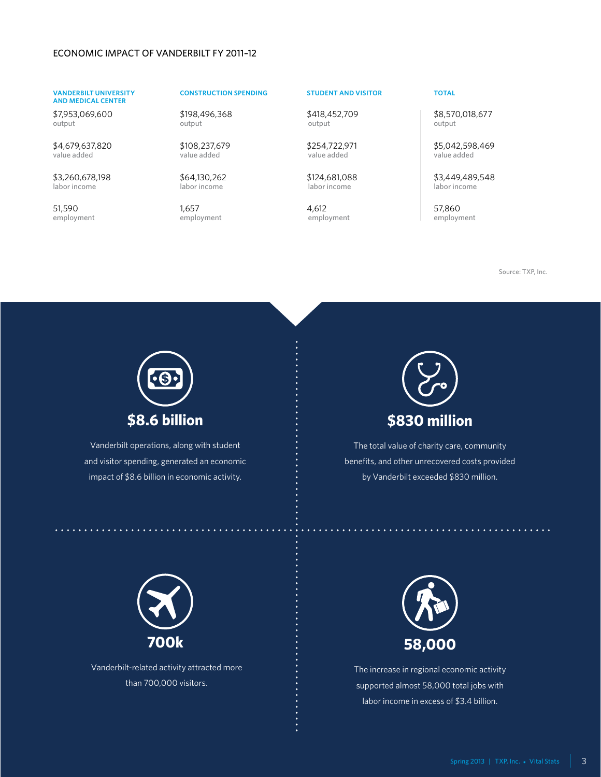### Economic Impact of Vanderbilt FY 2011–12

### **Vanderbilt University and Medical Center**

\$7,953,069,600 output

\$4,679,637,820 value added

\$3,260,678,198 labor income

51,590 employment

### **Construction Spending Student and Visitor Total**

\$198,496,368 output

\$108,237,679 value added

\$64,130,262 labor income

1,657 employment

\$418,452,709 output

\$254,722,971 value added

\$124,681,088 labor income

4,612 employment

\$8,570,018,677 output

\$5,042,598,469 value added

\$3,449,489,548 labor income

57,860 employment

Source: TXP, Inc.



Vanderbilt operations, along with student and visitor spending, generated an economic impact of \$8.6 billion in economic activity.



The total value of charity care, community benefits, and other unrecovered costs provided by Vanderbilt exceeded \$830 million.



Vanderbilt-related activity attracted more than 700,000 visitors.



The increase in regional economic activity supported almost 58,000 total jobs with labor income in excess of \$3.4 billion.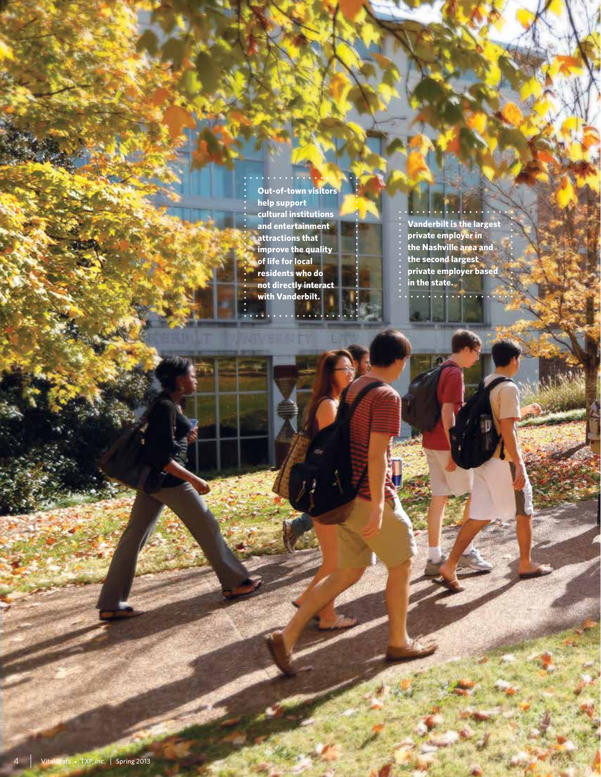**Out-of-town visitors help support cultural institutions and entertainment attractions that improve the quality of life for local residents who do not directly interact with Vanderbilt.**

. . . . . . . .

 $\sim$   $\sim$ 

 $\cdot$  . . . . . . . . . **Vanderbilt is the largest private employer in the Nashville area and the second largest private employer based in the state.**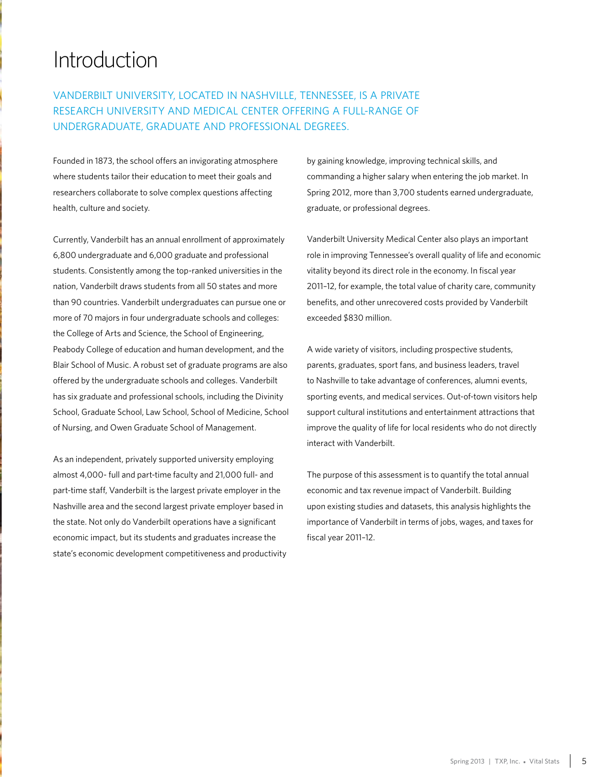# Introduction

## Vanderbilt University, located in Nashville, Tennessee, is a private research university and medical center offering a full-range of undergraduate, graduate and professional degrees.

Founded in 1873, the school offers an invigorating atmosphere where students tailor their education to meet their goals and researchers collaborate to solve complex questions affecting health, culture and society.

Currently, Vanderbilt has an annual enrollment of approximately 6,800 undergraduate and 6,000 graduate and professional students. Consistently among the top-ranked universities in the nation, Vanderbilt draws students from all 50 states and more than 90 countries. Vanderbilt undergraduates can pursue one or more of 70 majors in four undergraduate schools and colleges: the College of Arts and Science, the School of Engineering, Peabody College of education and human development, and the Blair School of Music. A robust set of graduate programs are also offered by the undergraduate schools and colleges. Vanderbilt has six graduate and professional schools, including the Divinity School, Graduate School, Law School, School of Medicine, School of Nursing, and Owen Graduate School of Management.

As an independent, privately supported university employing almost 4,000- full and part-time faculty and 21,000 full- and part-time staff, Vanderbilt is the largest private employer in the Nashville area and the second largest private employer based in the state. Not only do Vanderbilt operations have a significant economic impact, but its students and graduates increase the state's economic development competitiveness and productivity by gaining knowledge, improving technical skills, and commanding a higher salary when entering the job market. In Spring 2012, more than 3,700 students earned undergraduate, graduate, or professional degrees.

Vanderbilt University Medical Center also plays an important role in improving Tennessee's overall quality of life and economic vitality beyond its direct role in the economy. In fiscal year 2011–12, for example, the total value of charity care, community benefits, and other unrecovered costs provided by Vanderbilt exceeded \$830 million.

A wide variety of visitors, including prospective students, parents, graduates, sport fans, and business leaders, travel to Nashville to take advantage of conferences, alumni events, sporting events, and medical services. Out-of-town visitors help support cultural institutions and entertainment attractions that improve the quality of life for local residents who do not directly interact with Vanderbilt.

The purpose of this assessment is to quantify the total annual economic and tax revenue impact of Vanderbilt. Building upon existing studies and datasets, this analysis highlights the importance of Vanderbilt in terms of jobs, wages, and taxes for fiscal year 2011–12.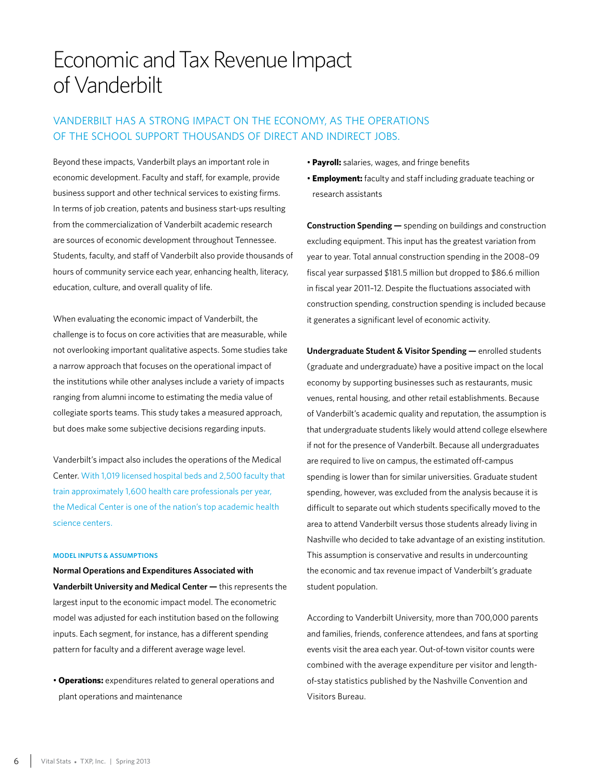# Economic and Tax Revenue Impact of Vanderbilt

## Vanderbilt has a strong impact on the economy, as the operations of the school support thousands of direct and indirect jobs.

Beyond these impacts, Vanderbilt plays an important role in economic development. Faculty and staff, for example, provide business support and other technical services to existing firms. In terms of job creation, patents and business start-ups resulting from the commercialization of Vanderbilt academic research are sources of economic development throughout Tennessee. Students, faculty, and staff of Vanderbilt also provide thousands of hours of community service each year, enhancing health, literacy, education, culture, and overall quality of life.

When evaluating the economic impact of Vanderbilt, the challenge is to focus on core activities that are measurable, while not overlooking important qualitative aspects. Some studies take a narrow approach that focuses on the operational impact of the institutions while other analyses include a variety of impacts ranging from alumni income to estimating the media value of collegiate sports teams. This study takes a measured approach, but does make some subjective decisions regarding inputs.

Vanderbilt's impact also includes the operations of the Medical Center. With 1,019 licensed hospital beds and 2,500 faculty that train approximately 1,600 health care professionals per year, the Medical Center is one of the nation's top academic health science centers.

### **Model Inputs & Assumptions**

**Normal Operations and Expenditures Associated with Vanderbilt University and Medical Center —** this represents the largest input to the economic impact model. The econometric model was adjusted for each institution based on the following inputs. Each segment, for instance, has a different spending pattern for faculty and a different average wage level.

• **Operations:** expenditures related to general operations and plant operations and maintenance

- **Payroll:** salaries, wages, and fringe benefits
- **Employment:** faculty and staff including graduate teaching or research assistants

**Construction Spending —** spending on buildings and construction excluding equipment. This input has the greatest variation from year to year. Total annual construction spending in the 2008–09 fiscal year surpassed \$181.5 million but dropped to \$86.6 million in fiscal year 2011–12. Despite the fluctuations associated with construction spending, construction spending is included because it generates a significant level of economic activity.

**Undergraduate Student & Visitor Spending —** enrolled students (graduate and undergraduate) have a positive impact on the local economy by supporting businesses such as restaurants, music venues, rental housing, and other retail establishments. Because of Vanderbilt's academic quality and reputation, the assumption is that undergraduate students likely would attend college elsewhere if not for the presence of Vanderbilt. Because all undergraduates are required to live on campus, the estimated off-campus spending is lower than for similar universities. Graduate student spending, however, was excluded from the analysis because it is difficult to separate out which students specifically moved to the area to attend Vanderbilt versus those students already living in Nashville who decided to take advantage of an existing institution. This assumption is conservative and results in undercounting the economic and tax revenue impact of Vanderbilt's graduate student population.

According to Vanderbilt University, more than 700,000 parents and families, friends, conference attendees, and fans at sporting events visit the area each year. Out-of-town visitor counts were combined with the average expenditure per visitor and lengthof-stay statistics published by the Nashville Convention and Visitors Bureau.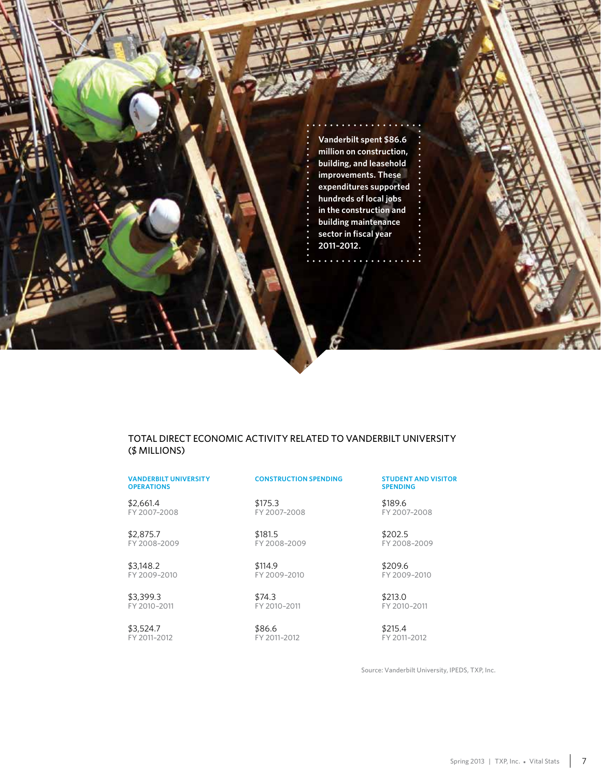**Vanderbilt spent \$86.6 million on construction, building, and leasehold improvements. These expenditures supported hundreds of local jobs in the construction and building maintenance sector in fiscal year 2011–2012.**

### Total Direct Economic Activity Related to Vanderbilt University (\$ Millions)

### **Vanderbilt University Operations**

FY 2007–2008 \$2,661.4

FY 2008–2009 \$2,875.7

FY 2009–2010 \$3,148.2

FY 2010–2011 \$3,399.3

FY 2011–2012 \$3,524.7

### **Construction Spending Student and Visitor**

FY 2007–2008 \$175.3

FY 2008–2009 \$181.5

FY 2009–2010 \$114.9

FY 2010–2011 \$74.3

FY 2011–2012 \$86.6

## **Spending**

FY 2007–2008 \$189.6

FY 2008–2009 \$202.5

FY 2009–2010 \$209.6

FY 2010–2011 \$213.0

FY 2011–2012 \$215.4

Source: Vanderbilt University, IPEDS, TXP, Inc.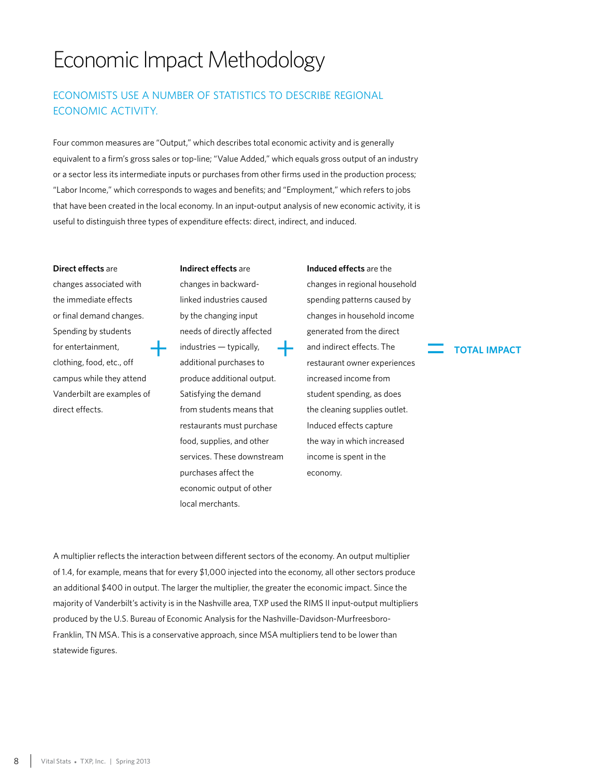# Economic Impact Methodology

## Economists use a number of statistics to describe regional economic activity.

Four common measures are "Output," which describes total economic activity and is generally equivalent to a firm's gross sales or top-line; "Value Added," which equals gross output of an industry or a sector less its intermediate inputs or purchases from other firms used in the production process; "Labor Income," which corresponds to wages and benefits; and "Employment," which refers to jobs that have been created in the local economy. In an input-output analysis of new economic activity, it is useful to distinguish three types of expenditure effects: direct, indirect, and induced.

### **Direct effects** are

changes associated with the immediate effects or final demand changes. Spending by students for entertainment, clothing, food, etc., off campus while they attend Vanderbilt are examples of direct effects.

### **Indirect effects** are

changes in backwardlinked industries caused by the changing input needs of directly affected industries — typically, additional purchases to produce additional output. Satisfying the demand from students means that restaurants must purchase food, supplies, and other services. These downstream purchases affect the economic output of other local merchants.

changes in regional household spending patterns caused by changes in household income generated from the direct and indirect effects. The restaurant owner experiences increased income from student spending, as does the cleaning supplies outlet. Induced effects capture the way in which increased income is spent in the economy. = industries — typically, = and indirect effects. The additional purchases to restaurant owner experiences

**Induced effects** are the

A multiplier reflects the interaction between different sectors of the economy. An output multiplier of 1.4, for example, means that for every \$1,000 injected into the economy, all other sectors produce an additional \$400 in output. The larger the multiplier, the greater the economic impact. Since the majority of Vanderbilt's activity is in the Nashville area, TXP used the RIMS II input-output multipliers produced by the U.S. Bureau of Economic Analysis for the Nashville-Davidson-Murfreesboro-Franklin, TN MSA. This is a conservative approach, since MSA multipliers tend to be lower than statewide figures.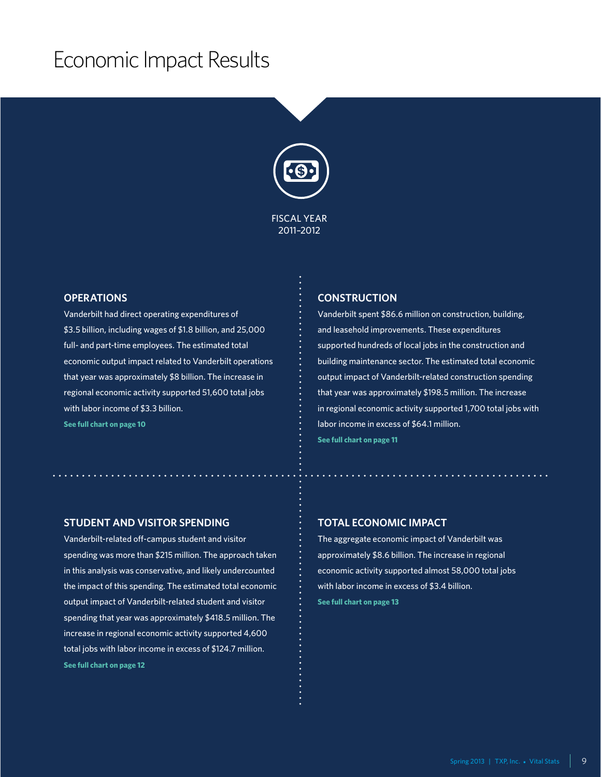# Economic Impact Results



### **Operations**

Vanderbilt had direct operating expenditures of \$3.5 billion, including wages of \$1.8 billion, and 25,000 full- and part-time employees. The estimated total economic output impact related to Vanderbilt operations that year was approximately \$8 billion. The increase in regional economic activity supported 51,600 total jobs with labor income of \$3.3 billion. **See full chart on page 10**

### **Construction**

Vanderbilt spent \$86.6 million on construction, building, and leasehold improvements. These expenditures supported hundreds of local jobs in the construction and building maintenance sector. The estimated total economic output impact of Vanderbilt-related construction spending that year was approximately \$198.5 million. The increase in regional economic activity supported 1,700 total jobs with labor income in excess of \$64.1 million. **See full chart on page 11**

### **Student and Visitor Spending**

Vanderbilt-related off-campus student and visitor spending was more than \$215 million. The approach taken in this analysis was conservative, and likely undercounted the impact of this spending. The estimated total economic output impact of Vanderbilt-related student and visitor spending that year was approximately \$418.5 million. The increase in regional economic activity supported 4,600 total jobs with labor income in excess of \$124.7 million. **See full chart on page 12**

### **Total Economic Impact**

The aggregate economic impact of Vanderbilt was approximately \$8.6 billion. The increase in regional economic activity supported almost 58,000 total jobs with labor income in excess of \$3.4 billion. **See full chart on page 13**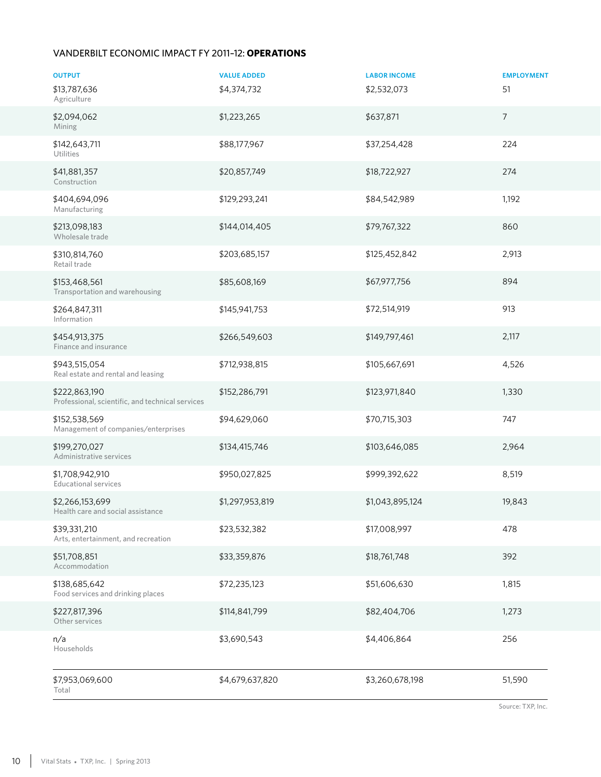### Vanderbilt Economic Impact FY 2011–12: **Operations**

| <b>OUTPUT</b>                                                     | <b>VALUE ADDED</b> | <b>LABOR INCOME</b> | <b>EMPLOYMENT</b> |
|-------------------------------------------------------------------|--------------------|---------------------|-------------------|
| \$13,787,636<br>Agriculture                                       | \$4,374,732        | \$2,532,073         | 51                |
| \$2,094,062<br>Mining                                             | \$1,223,265        | \$637,871           | $\overline{7}$    |
| \$142,643,711<br>Utilities                                        | \$88,177,967       | \$37,254,428        | 224               |
| \$41,881,357<br>Construction                                      | \$20,857,749       | \$18,722,927        | 274               |
| \$404,694,096<br>Manufacturing                                    | \$129,293,241      | \$84,542,989        | 1,192             |
| \$213,098,183<br>Wholesale trade                                  | \$144,014,405      | \$79,767,322        | 860               |
| \$310,814,760<br>Retail trade                                     | \$203,685,157      | \$125,452,842       | 2,913             |
| \$153,468,561<br>Transportation and warehousing                   | \$85,608,169       | \$67,977,756        | 894               |
| \$264,847,311<br>Information                                      | \$145,941,753      | \$72,514,919        | 913               |
| \$454,913,375<br>Finance and insurance                            | \$266,549,603      | \$149,797,461       | 2,117             |
| \$943,515,054<br>Real estate and rental and leasing               | \$712,938,815      | \$105,667,691       | 4,526             |
| \$222,863,190<br>Professional, scientific, and technical services | \$152,286,791      | \$123,971,840       | 1,330             |
| \$152,538,569<br>Management of companies/enterprises              | \$94,629,060       | \$70,715,303        | 747               |
| \$199,270,027<br>Administrative services                          | \$134,415,746      | \$103,646,085       | 2,964             |
| \$1,708,942,910<br><b>Educational services</b>                    | \$950,027,825      | \$999,392,622       | 8,519             |
| \$2,266,153,699<br>Health care and social assistance              | \$1,297,953,819    | \$1,043,895,124     | 19,843            |
| \$39,331,210<br>Arts, entertainment, and recreation               | \$23,532,382       | \$17,008,997        | 478               |
| \$51,708,851<br>Accommodation                                     | \$33,359,876       | \$18,761,748        | 392               |
| \$138,685,642<br>Food services and drinking places                | \$72,235,123       | \$51,606,630        | 1,815             |
| \$227,817,396<br>Other services                                   | \$114,841,799      | \$82,404,706        | 1,273             |
| n/a<br>Households                                                 | \$3,690,543        | \$4,406,864         | 256               |
| \$7,953,069,600<br>Total                                          | \$4,679,637,820    | \$3,260,678,198     | 51,590            |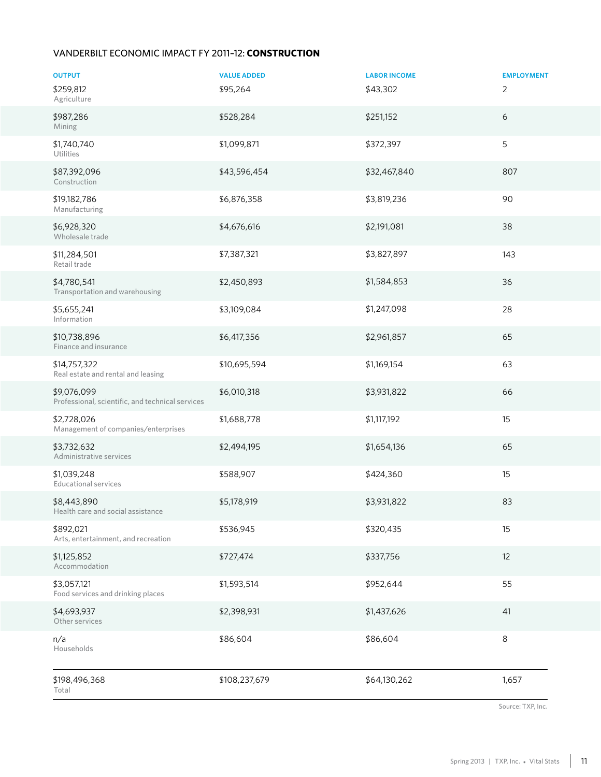### Vanderbilt Economic Impact FY 2011–12: **Construction**

| <b>OUTPUT</b><br>\$259,812                                      | <b>VALUE ADDED</b><br>\$95,264 | <b>LABOR INCOME</b><br>\$43,302 | <b>EMPLOYMENT</b><br>$\overline{2}$ |
|-----------------------------------------------------------------|--------------------------------|---------------------------------|-------------------------------------|
| Agriculture<br>\$987,286                                        | \$528,284                      | \$251,152                       | 6                                   |
| Mining                                                          |                                |                                 |                                     |
| \$1,740,740<br>Utilities                                        | \$1,099,871                    | \$372,397                       | 5                                   |
| \$87,392,096<br>Construction                                    | \$43,596,454                   | \$32,467,840                    | 807                                 |
| \$19,182,786<br>Manufacturing                                   | \$6,876,358                    | \$3,819,236                     | 90                                  |
| \$6,928,320<br>Wholesale trade                                  | \$4,676,616                    | \$2,191,081                     | 38                                  |
| \$11,284,501<br>Retail trade                                    | \$7,387,321                    | \$3,827,897                     | 143                                 |
| \$4,780,541<br>Transportation and warehousing                   | \$2,450,893                    | \$1,584,853                     | 36                                  |
| \$5,655,241<br>Information                                      | \$3,109,084                    | \$1,247,098                     | 28                                  |
| \$10,738,896<br>Finance and insurance                           | \$6,417,356                    | \$2,961,857                     | 65                                  |
| \$14,757,322<br>Real estate and rental and leasing              | \$10,695,594                   | \$1,169,154                     | 63                                  |
| \$9,076,099<br>Professional, scientific, and technical services | \$6,010,318                    | \$3,931,822                     | 66                                  |
| \$2,728,026<br>Management of companies/enterprises              | \$1,688,778                    | \$1,117,192                     | 15                                  |
| \$3,732,632<br>Administrative services                          | \$2,494,195                    | \$1,654,136                     | 65                                  |
| \$1,039,248<br><b>Educational services</b>                      | \$588,907                      | \$424,360                       | 15                                  |
| \$8,443,890<br>Health care and social assistance                | \$5,178,919                    | \$3,931,822                     | 83                                  |
| \$892,021<br>Arts, entertainment, and recreation                | \$536,945                      | \$320,435                       | 15                                  |
| \$1,125,852<br>Accommodation                                    | \$727,474                      | \$337,756                       | 12                                  |
| \$3,057,121<br>Food services and drinking places                | \$1,593,514                    | \$952,644                       | 55                                  |
| \$4,693,937<br>Other services                                   | \$2,398,931                    | \$1,437,626                     | 41                                  |
| n/a<br>Households                                               | \$86,604                       | \$86,604                        | 8                                   |
| \$198,496,368<br>Total                                          | \$108,237,679                  | \$64,130,262                    | 1,657                               |

Source: TXP, Inc.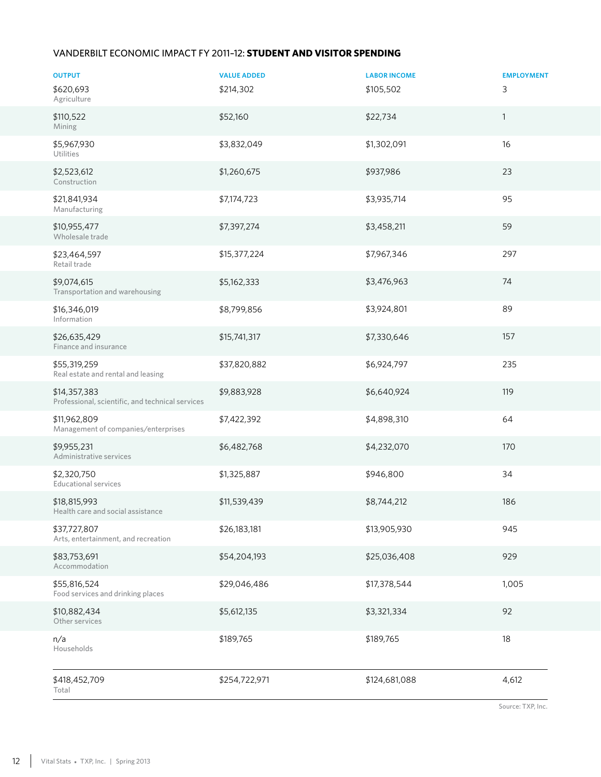### Vanderbilt Economic Impact FY 2011–12: **Student and Visitor Spending**

| <b>OUTPUT</b>                                                    | <b>VALUE ADDED</b> | <b>LABOR INCOME</b> | <b>EMPLOYMENT</b> |
|------------------------------------------------------------------|--------------------|---------------------|-------------------|
| \$620,693<br>Agriculture                                         | \$214,302          | \$105,502           | 3                 |
| \$110,522<br>Mining                                              | \$52,160           | \$22,734            | $\mathbf{1}$      |
| \$5,967,930<br>Utilities                                         | \$3,832,049        | \$1,302,091         | 16                |
| \$2,523,612<br>Construction                                      | \$1,260,675        | \$937,986           | 23                |
| \$21,841,934<br>Manufacturing                                    | \$7,174,723        | \$3,935,714         | 95                |
| \$10,955,477<br>Wholesale trade                                  | \$7,397,274        | \$3,458,211         | 59                |
| \$23,464,597<br>Retail trade                                     | \$15,377,224       | \$7,967,346         | 297               |
| \$9,074,615<br>Transportation and warehousing                    | \$5,162,333        | \$3,476,963         | 74                |
| \$16,346,019<br>Information                                      | \$8,799,856        | \$3,924,801         | 89                |
| \$26,635,429<br>Finance and insurance                            | \$15,741,317       | \$7,330,646         | 157               |
| \$55,319,259<br>Real estate and rental and leasing               | \$37,820,882       | \$6,924,797         | 235               |
| \$14,357,383<br>Professional, scientific, and technical services | \$9,883,928        | \$6,640,924         | 119               |
| \$11,962,809<br>Management of companies/enterprises              | \$7,422,392        | \$4,898,310         | 64                |
| \$9,955,231<br>Administrative services                           | \$6,482,768        | \$4,232,070         | 170               |
| \$2,320,750<br><b>Educational services</b>                       | \$1,325,887        | \$946,800           | 34                |
| \$18,815,993<br>Health care and social assistance                | \$11,539,439       | \$8,744,212         | 186               |
| \$37,727,807<br>Arts, entertainment, and recreation              | \$26,183,181       | \$13,905,930        | 945               |
| \$83,753,691<br>Accommodation                                    | \$54,204,193       | \$25,036,408        | 929               |
| \$55,816,524<br>Food services and drinking places                | \$29,046,486       | \$17,378,544        | 1,005             |
| \$10,882,434<br>Other services                                   | \$5,612,135        | \$3,321,334         | 92                |
| n/a<br>Households                                                | \$189,765          | \$189,765           | 18                |
| \$418,452,709<br>Total                                           | \$254,722,971      | \$124,681,088       | 4,612             |

Source: TXP, Inc.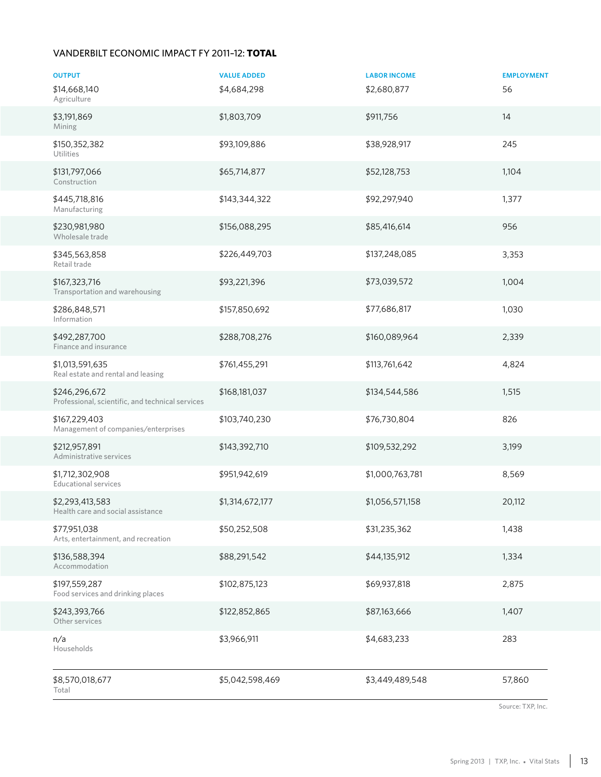### Vanderbilt Economic Impact FY 2011–12: **TOTAL**

| <b>OUTPUT</b>                                                     | <b>VALUE ADDED</b> | <b>LABOR INCOME</b> | <b>EMPLOYMENT</b> |
|-------------------------------------------------------------------|--------------------|---------------------|-------------------|
| \$14,668,140<br>Agriculture                                       | \$4,684,298        | \$2,680,877         | 56                |
| \$3,191,869<br>Mining                                             | \$1,803,709        | \$911,756           | 14                |
| \$150,352,382<br><b>Utilities</b>                                 | \$93,109,886       | \$38,928,917        | 245               |
| \$131,797,066<br>Construction                                     | \$65,714,877       | \$52,128,753        | 1,104             |
| \$445,718,816<br>Manufacturing                                    | \$143,344,322      | \$92,297,940        | 1,377             |
| \$230,981,980<br>Wholesale trade                                  | \$156,088,295      | \$85,416,614        | 956               |
| \$345,563,858<br>Retail trade                                     | \$226,449,703      | \$137,248,085       | 3,353             |
| \$167,323,716<br>Transportation and warehousing                   | \$93,221,396       | \$73,039,572        | 1,004             |
| \$286,848,571<br>Information                                      | \$157,850,692      | \$77,686,817        | 1,030             |
| \$492,287,700<br>Finance and insurance                            | \$288,708,276      | \$160,089,964       | 2,339             |
| \$1,013,591,635<br>Real estate and rental and leasing             | \$761,455,291      | \$113,761,642       | 4,824             |
| \$246,296,672<br>Professional, scientific, and technical services | \$168,181,037      | \$134,544,586       | 1,515             |
| \$167,229,403<br>Management of companies/enterprises              | \$103,740,230      | \$76,730,804        | 826               |
| \$212,957,891<br>Administrative services                          | \$143,392,710      | \$109,532,292       | 3,199             |
| \$1,712,302,908<br><b>Educational services</b>                    | \$951,942,619      | \$1,000,763,781     | 8,569             |
| \$2,293,413,583<br>Health care and social assistance              | \$1,314,672,177    | \$1,056,571,158     | 20,112            |
| \$77,951,038<br>Arts, entertainment, and recreation               | \$50,252,508       | \$31,235,362        | 1,438             |
| \$136,588,394<br>Accommodation                                    | \$88,291,542       | \$44,135,912        | 1,334             |
| \$197,559,287<br>Food services and drinking places                | \$102,875,123      | \$69,937,818        | 2,875             |
| \$243,393,766<br>Other services                                   | \$122,852,865      | \$87,163,666        | 1,407             |
| n/a<br>Households                                                 | \$3,966,911        | \$4,683,233         | 283               |
| \$8,570,018,677<br>Total                                          | \$5,042,598,469    | \$3,449,489,548     | 57,860            |

Source: TXP, Inc.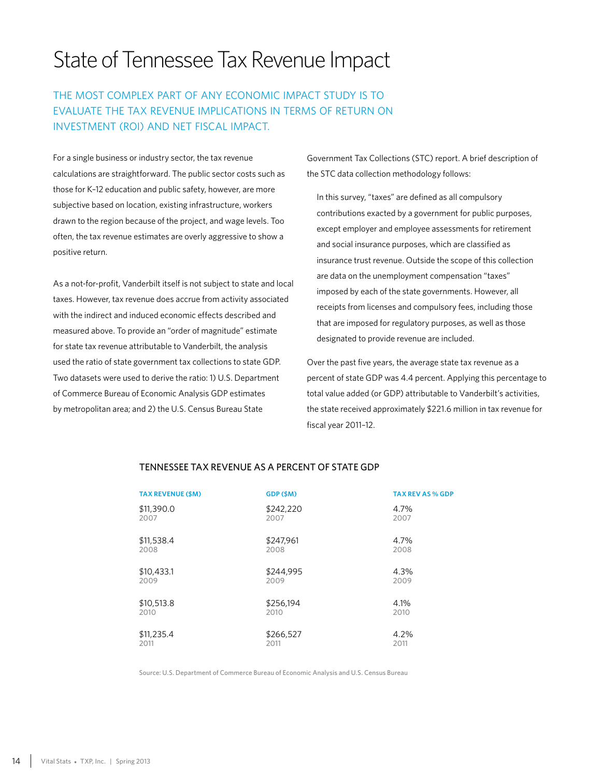# State of Tennessee Tax Revenue Impact

## The most complex part of any economic impact study is to evaluate the tax revenue implications in terms of return on investment (ROI) and net fiscal impact.

For a single business or industry sector, the tax revenue calculations are straightforward. The public sector costs such as those for K–12 education and public safety, however, are more subjective based on location, existing infrastructure, workers drawn to the region because of the project, and wage levels. Too often, the tax revenue estimates are overly aggressive to show a positive return.

As a not-for-profit, Vanderbilt itself is not subject to state and local taxes. However, tax revenue does accrue from activity associated with the indirect and induced economic effects described and measured above. To provide an "order of magnitude" estimate for state tax revenue attributable to Vanderbilt, the analysis used the ratio of state government tax collections to state GDP. Two datasets were used to derive the ratio: 1) U.S. Department of Commerce Bureau of Economic Analysis GDP estimates by metropolitan area; and 2) the U.S. Census Bureau State

Government Tax Collections (STC) report. A brief description of the STC data collection methodology follows:

In this survey, "taxes" are defined as all compulsory contributions exacted by a government for public purposes, except employer and employee assessments for retirement and social insurance purposes, which are classified as insurance trust revenue. Outside the scope of this collection are data on the unemployment compensation "taxes" imposed by each of the state governments. However, all receipts from licenses and compulsory fees, including those that are imposed for regulatory purposes, as well as those designated to provide revenue are included.

Over the past five years, the average state tax revenue as a percent of state GDP was 4.4 percent. Applying this percentage to total value added (or GDP) attributable to Vanderbilt's activities, the state received approximately \$221.6 million in tax revenue for fiscal year 2011–12.

| <b>TAX REVENUE (\$M)</b> | GDP (\$M) | <b>TAX REV AS % GDP</b> |
|--------------------------|-----------|-------------------------|
| \$11,390.0               | \$242,220 | 4.7%                    |
| 2007                     | 2007      | 2007                    |
| \$11,538.4               | \$247.961 | 4.7%                    |
| 2008                     | 2008      | 2008                    |
| \$10,433.1               | \$244,995 | 4.3%                    |
| 2009                     | 2009      | 2009                    |
| \$10,513.8               | \$256,194 | 4.1%                    |
| 2010                     | 2010      | 2010                    |
| \$11,235.4               | \$266,527 | 4.2%                    |
| 2011                     | 2011      | 2011                    |

### Tennessee Tax Revenue as a Percent of State GDP

Source: U.S. Department of Commerce Bureau of Economic Analysis and U.S. Census Bureau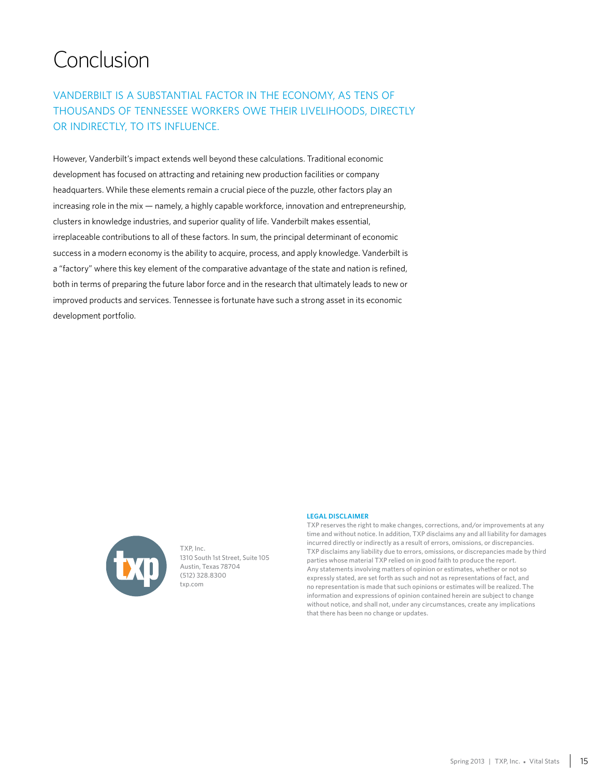# Conclusion

## Vanderbilt is a substantial factor in the economy, as tens of thousands of Tennessee workers owe their livelihoods, directly OR INDIRECTLY, TO ITS INFLUENCE.

However, Vanderbilt's impact extends well beyond these calculations. Traditional economic development has focused on attracting and retaining new production facilities or company headquarters. While these elements remain a crucial piece of the puzzle, other factors play an increasing role in the mix — namely, a highly capable workforce, innovation and entrepreneurship, clusters in knowledge industries, and superior quality of life. Vanderbilt makes essential, irreplaceable contributions to all of these factors. In sum, the principal determinant of economic success in a modern economy is the ability to acquire, process, and apply knowledge. Vanderbilt is a "factory" where this key element of the comparative advantage of the state and nation is refined, both in terms of preparing the future labor force and in the research that ultimately leads to new or improved products and services. Tennessee is fortunate have such a strong asset in its economic development portfolio.



TXP, Inc. 1310 South 1st Street, Suite 105 Austin, Texas 78704 (512) 328.8300 txp.com

### **Legal Disclaimer**

TXP reserves the right to make changes, corrections, and/or improvements at any time and without notice. In addition, TXP disclaims any and all liability for damages incurred directly or indirectly as a result of errors, omissions, or discrepancies. TXP disclaims any liability due to errors, omissions, or discrepancies made by third parties whose material TXP relied on in good faith to produce the report. Any statements involving matters of opinion or estimates, whether or not so expressly stated, are set forth as such and not as representations of fact, and no representation is made that such opinions or estimates will be realized. The information and expressions of opinion contained herein are subject to change without notice, and shall not, under any circumstances, create any implications that there has been no change or updates.